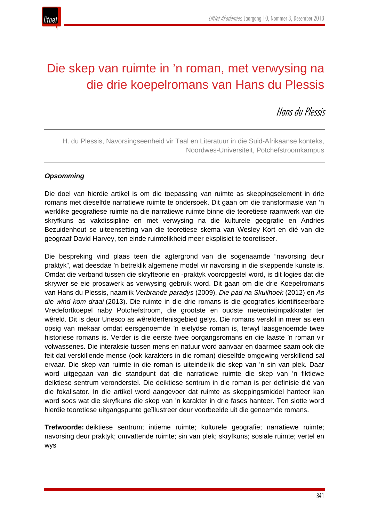

# Die skep van ruimte in 'n roman, met verwysing na die drie koepelromans van Hans du Plessis

# Hans du Plessis

H. du Plessis, Navorsingseenheid vir Taal en Literatuur in die Suid-Afrikaanse konteks, Noordwes-Universiteit, Potchefstroomkampus

# *Opsomming*

Die doel van hierdie artikel is om die toepassing van ruimte as skeppingselement in drie romans met dieselfde narratiewe ruimte te ondersoek. Dit gaan om die transformasie van 'n werklike geografiese ruimte na die narratiewe ruimte binne die teoretiese raamwerk van die skryfkuns as vakdissipline en met verwysing na die kulturele geografie en Andries Bezuidenhout se uiteensetting van die teoretiese skema van Wesley Kort en dié van die geograaf David Harvey, ten einde ruimtelikheid meer eksplisiet te teoretiseer.

Die bespreking vind plaas teen die agtergrond van die sogenaamde "navorsing deur praktyk", wat deesdae 'n betreklik algemene model vir navorsing in die skeppende kunste is. Omdat die verband tussen die skryfteorie en -praktyk vooropgestel word, is dit logies dat die skrywer se eie prosawerk as verwysing gebruik word. Dit gaan om die drie Koepelromans van Hans du Plessis, naamlik *Verbrande paradys* (2009), *Die pad na Skuilhoek* (2012) en *As die wind kom draai* (2013). Die ruimte in die drie romans is die geografies identifiseerbare Vredefortkoepel naby Potchefstroom, die grootste en oudste meteorietimpakkrater ter wêreld. Dit is deur Unesco as wêrelderfenisgebied gelys. Die romans verskil in meer as een opsig van mekaar omdat eersgenoemde 'n eietydse roman is, terwyl laasgenoemde twee historiese romans is. Verder is die eerste twee oorgangsromans en die laaste 'n roman vir volwassenes. Die interaksie tussen mens en natuur word aanvaar en daarmee saam ook die feit dat verskillende mense (ook karakters in die roman) dieselfde omgewing verskillend sal ervaar. Die skep van ruimte in die roman is uiteindelik die skep van 'n sin van plek. Daar word uitgegaan van die standpunt dat die narratiewe ruimte die skep van 'n fiktiewe deiktiese sentrum veronderstel. Die deiktiese sentrum in die roman is per definisie dié van die fokalisator. In die artikel word aangevoer dat ruimte as skeppingsmiddel hanteer kan word soos wat die skryfkuns die skep van 'n karakter in drie fases hanteer. Ten slotte word hierdie teoretiese uitgangspunte geïllustreer deur voorbeelde uit die genoemde romans.

**Trefwoorde:** deiktiese sentrum; intieme ruimte; kulturele geografie; narratiewe ruimte; navorsing deur praktyk; omvattende ruimte; sin van plek; skryfkuns; sosiale ruimte; vertel en wys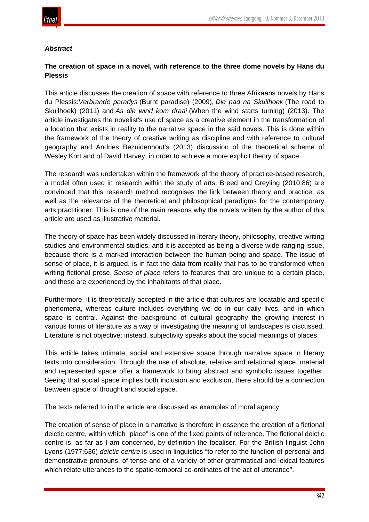

#### *Abstract*

# **The creation of space in a novel, with reference to the three dome novels by Hans du Plessis**

This article discusses the creation of space with reference to three Afrikaans novels by Hans du Plessis:*Verbrande paradys* (Burnt paradise) (2009), *Die pad na Skuilhoek* (The road to Skuilhoek) (2011) and *As die wind kom draai* (When the wind starts turning) (2013). The article investigates the novelist's use of space as a creative element in the transformation of a location that exists in reality to the narrative space in the said novels. This is done within the framework of the theory of creative writing as discipline and with reference to cultural geography and Andries Bezuidenhout's (2013) discussion of the theoretical scheme of Wesley Kort and of David Harvey, in order to achieve a more explicit theory of space.

The research was undertaken within the framework of the theory of practice-based research, a model often used in research within the study of arts. Breed and Greyling (2010:86) are convinced that this research method recognises the link between theory and practice, as well as the relevance of the theoretical and philosophical paradigms for the contemporary arts practitioner. This is one of the main reasons why the novels written by the author of this article are used as illustrative material.

The theory of space has been widely discussed in literary theory, philosophy, creative writing studies and environmental studies, and it is accepted as being a diverse wide-ranging issue, because there is a marked interaction between the human being and space. The issue of sense of place, it is argued, is in fact the data from reality that has to be transformed when writing fictional prose. *Sense of place* refers to features that are unique to a certain place, and these are experienced by the inhabitants of that place.

Furthermore, it is theoretically accepted in the article that cultures are locatable and specific phenomena, whereas culture includes everything we do in our daily lives, and in which space is central. Against the background of cultural geography the growing interest in various forms of literature as a way of investigating the meaning of landscapes is discussed. Literature is not objective; instead, subjectivity speaks about the social meanings of places.

This article takes intimate, social and extensive space through narrative space in literary texts into consideration. Through the use of absolute, relative and relational space, material and represented space offer a framework to bring abstract and symbolic issues together. Seeing that social space implies both inclusion and exclusion, there should be a connection between space of thought and social space.

The texts referred to in the article are discussed as examples of moral agency.

The creation of sense of place in a narrative is therefore in essence the creation of a fictional deictic centre, within which "place" is one of the fixed points of reference. The fictional deictic centre is, as far as I am concerned, by definition the focaliser. For the British linguist John Lyons (1977:636) *deictic centre* is used in linguistics "to refer to the function of personal and demonstrative pronouns, of tense and of a variety of other grammatical and lexical features which relate utterances to the spatio-temporal co-ordinates of the act of utterance".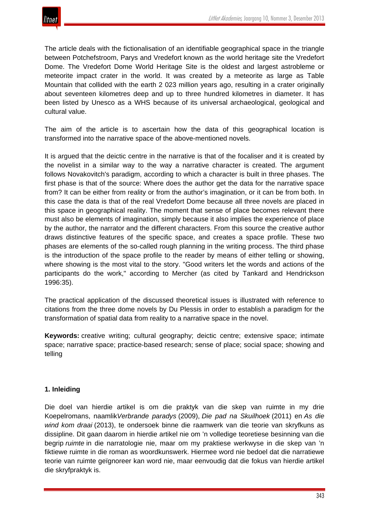

The article deals with the fictionalisation of an identifiable geographical space in the triangle between Potchefstroom, Parys and Vredefort known as the world heritage site the Vredefort Dome. The Vredefort Dome World Heritage Site is the oldest and largest astrobleme or meteorite impact crater in the world. It was created by a meteorite as large as Table Mountain that collided with the earth 2 023 million years ago, resulting in a crater originally about seventeen kilometres deep and up to three hundred kilometres in diameter. It has been listed by Unesco as a WHS because of its universal archaeological, geological and cultural value.

The aim of the article is to ascertain how the data of this geographical location is transformed into the narrative space of the above-mentioned novels.

It is argued that the deictic centre in the narrative is that of the focaliser and it is created by the novelist in a similar way to the way a narrative character is created. The argument follows Novakovitch's paradigm, according to which a character is built in three phases. The first phase is that of the source: Where does the author get the data for the narrative space from? It can be either from reality or from the author's imagination, or it can be from both. In this case the data is that of the real Vredefort Dome because all three novels are placed in this space in geographical reality. The moment that sense of place becomes relevant there must also be elements of imagination, simply because it also implies the experience of place by the author, the narrator and the different characters. From this source the creative author draws distinctive features of the specific space, and creates a space profile. These two phases are elements of the so-called rough planning in the writing process. The third phase is the introduction of the space profile to the reader by means of either telling or showing, where showing is the most vital to the story. "Good writers let the words and actions of the participants do the work," according to Mercher (as cited by Tankard and Hendrickson 1996:35).

The practical application of the discussed theoretical issues is illustrated with reference to citations from the three dome novels by Du Plessis in order to establish a paradigm for the transformation of spatial data from reality to a narrative space in the novel.

**Keywords:** creative writing; cultural geography; deictic centre; extensive space; intimate space; narrative space; practice-based research; sense of place; social space; showing and telling

# **1. Inleiding**

Die doel van hierdie artikel is om die praktyk van die skep van ruimte in my drie Koepelromans, naamlik*Verbrande paradys* (2009), *Die pad na Skuilhoek* (2011) en *As die wind kom draai* (2013), te ondersoek binne die raamwerk van die teorie van skryfkuns as dissipline. Dit gaan daarom in hierdie artikel nie om 'n volledige teoretiese besinning van die begrip *ruimte* in die narratologie nie, maar om my praktiese werkwyse in die skep van 'n fiktiewe ruimte in die roman as woordkunswerk. Hiermee word nie bedoel dat die narratiewe teorie van ruimte geïgnoreer kan word nie, maar eenvoudig dat die fokus van hierdie artikel die skryfpraktyk is.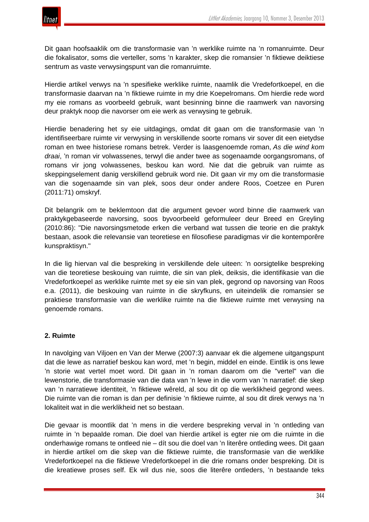

Dit gaan hoofsaaklik om die transformasie van 'n werklike ruimte na 'n romanruimte. Deur die fokalisator, soms die verteller, soms 'n karakter, skep die romansier 'n fiktiewe deiktiese sentrum as vaste verwysingspunt van die romanruimte.

Hierdie artikel verwys na 'n spesifieke werklike ruimte, naamlik die Vredefortkoepel, en die transformasie daarvan na 'n fiktiewe ruimte in my drie Koepelromans. Om hierdie rede word my eie romans as voorbeeld gebruik, want besinning binne die raamwerk van navorsing deur praktyk noop die navorser om eie werk as verwysing te gebruik.

Hierdie benadering het sy eie uitdagings, omdat dit gaan om die transformasie van 'n identifiseerbare ruimte vir verwysing in verskillende soorte romans vir sover dit een eietydse roman en twee historiese romans betrek. Verder is laasgenoemde roman, *As die wind kom draai*, 'n roman vir volwassenes, terwyl die ander twee as sogenaamde oorgangsromans, of romans vir jong volwassenes, beskou kan word. Nie dat die gebruik van ruimte as skeppingselement danig verskillend gebruik word nie. Dit gaan vir my om die transformasie van die sogenaamde sin van plek, soos deur onder andere Roos, Coetzee en Puren (2011:71) omskryf.

Dit belangrik om te beklemtoon dat die argument gevoer word binne die raamwerk van praktykgebaseerde navorsing, soos byvoorbeeld geformuleer deur Breed en Greyling (2010:86): "Die navorsingsmetode erken die verband wat tussen die teorie en die praktyk bestaan, asook die relevansie van teoretiese en filosofiese paradigmas vir die kontemporêre kunspraktisyn."

In die lig hiervan val die bespreking in verskillende dele uiteen: 'n oorsigtelike bespreking van die teoretiese beskouing van ruimte, die sin van plek, deiksis, die identifikasie van die Vredefortkoepel as werklike ruimte met sy eie sin van plek, gegrond op navorsing van Roos e.a. (2011), die beskouing van ruimte in die skryfkuns, en uiteindelik die romansier se praktiese transformasie van die werklike ruimte na die fiktiewe ruimte met verwysing na genoemde romans.

# **2. Ruimte**

In navolging van Viljoen en Van der Merwe (2007:3) aanvaar ek die algemene uitgangspunt dat die lewe as narratief beskou kan word, met 'n begin, middel en einde. Eintlik is ons lewe 'n storie wat vertel moet word. Dit gaan in 'n roman daarom om die "vertel" van die lewenstorie, die transformasie van die data van 'n lewe in die vorm van 'n narratief: die skep van 'n narratiewe identiteit, 'n fiktiewe wêreld, al sou dit op die werklikheid gegrond wees. Die ruimte van die roman is dan per definisie 'n fiktiewe ruimte, al sou dit direk verwys na 'n lokaliteit wat in die werklikheid net so bestaan.

Die gevaar is moontlik dat 'n mens in die verdere bespreking verval in 'n ontleding van ruimte in 'n bepaalde roman. Die doel van hierdie artikel is egter nie om die ruimte in die onderhawige romans te ontleed nie – dít sou die doel van 'n literêre ontleding wees. Dit gaan in hierdie artikel om die skep van die fiktiewe ruimte, die transformasie van die werklike Vredefortkoepel na die fiktiewe Vredefortkoepel in die drie romans onder bespreking. Dit is die kreatiewe proses self. Ek wil dus nie, soos die literêre ontleders, 'n bestaande teks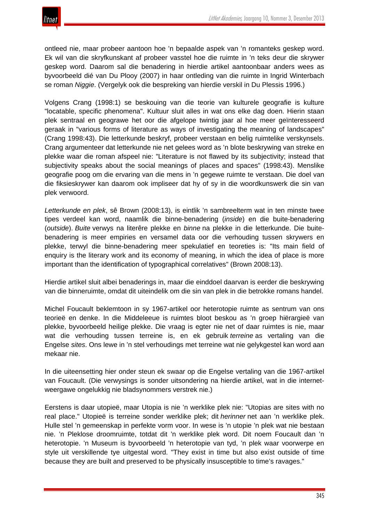ontleed nie, maar probeer aantoon hoe 'n bepaalde aspek van 'n romanteks geskep word. Ek wil van die skryfkunskant af probeer vasstel hoe die ruimte in 'n teks deur die skrywer geskep word. Daarom sal die benadering in hierdie artikel aantoonbaar anders wees as byvoorbeeld dié van Du Plooy (2007) in haar ontleding van die ruimte in Ingrid Winterbach se roman *Niggie*. (Vergelyk ook die bespreking van hierdie verskil in Du Plessis 1996.)

Volgens Crang (1998:1) se beskouing van die teorie van kulturele geografie is kulture "locatable, specific phenomena". Kultuur sluit alles in wat ons elke dag doen. Hierin staan plek sentraal en geograwe het oor die afgelope twintig jaar al hoe meer geïnteresseerd geraak in "various forms of literature as ways of investigating the meaning of landscapes" (Crang 1998:43). Die letterkunde beskryf, probeer verstaan en belig ruimtelike verskynsels. Crang argumenteer dat letterkunde nie net gelees word as 'n blote beskrywing van streke en plekke waar die roman afspeel nie: "Literature is not flawed by its subjectivity; instead that subjectivity speaks about the social meanings of places and spaces" (1998:43). Menslike geografie poog om die ervaring van die mens in 'n gegewe ruimte te verstaan. Die doel van die fiksieskrywer kan daarom ook impliseer dat hy of sy in die woordkunswerk die sin van plek verwoord.

*Letterkunde en plek*, sê Brown (2008:13), is eintlik 'n sambreelterm wat in ten minste twee tipes verdeel kan word, naamlik die binne-benadering (*inside*) en die buite-benadering (*outside*). *Buite* verwys na literêre plekke en *binne* na plekke in die letterkunde. Die buitebenadering is meer empiries en versamel data oor die verhouding tussen skrywers en plekke, terwyl die binne-benadering meer spekulatief en teoreties is: "Its main field of enquiry is the literary work and its economy of meaning, in which the idea of place is more important than the identification of typographical correlatives" (Brown 2008:13).

Hierdie artikel sluit albei benaderings in, maar die einddoel daarvan is eerder die beskrywing van die binneruimte, omdat dit uiteindelik om die sin van plek in die betrokke romans handel.

Michel Foucault beklemtoon in sy 1967-artikel oor heterotopie ruimte as sentrum van ons teorieë en denke. In die Middeleeue is ruimtes bloot beskou as 'n groep hiërargieë van plekke, byvoorbeeld heilige plekke. Die vraag is egter nie net of daar ruimtes is nie, maar wat die verhouding tussen terreine is, en ek gebruik *terreine* as vertaling van die Engelse *sites*. Ons lewe in 'n stel verhoudings met terreine wat nie gelykgestel kan word aan mekaar nie.

In die uiteensetting hier onder steun ek swaar op die Engelse vertaling van die 1967-artikel van Foucault. (Die verwysings is sonder uitsondering na hierdie artikel, wat in die internetweergawe ongelukkig nie bladsynommers verstrek nie.)

Eerstens is daar utopieë, maar Utopia is nie 'n werklike plek nie: "Utopias are sites with no real place." Utopieë is terreine sonder werklike plek; dit *herinner* net aan 'n werklike plek. Hulle stel 'n gemeenskap in perfekte vorm voor. In wese is 'n utopie 'n plek wat nie bestaan nie. 'n Pleklose droomruimte, totdat dit 'n werklike plek word. Dit noem Foucault dan 'n heterotopie. 'n Museum is byvoorbeeld 'n heterotopie van tyd, 'n plek waar voorwerpe en style uit verskillende tye uitgestal word. "They exist in time but also exist outside of time because they are built and preserved to be physically insusceptible to time's ravages."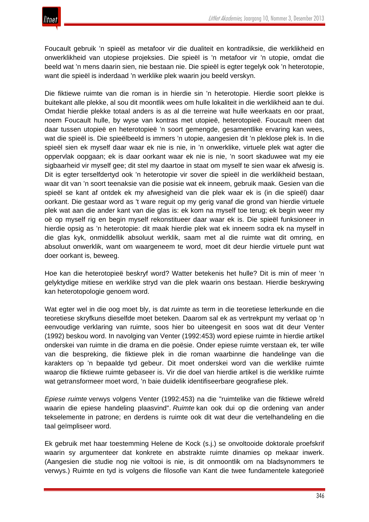Foucault gebruik 'n spieël as metafoor vir die dualiteit en kontradiksie, die werklikheid en onwerklikheid van utopiese projeksies. Die spieël is 'n metafoor vir 'n utopie, omdat die beeld wat 'n mens daarin sien, nie bestaan nie. Die spieël is egter tegelyk ook 'n heterotopie, want die spieël is inderdaad 'n werklike plek waarin jou beeld verskyn.

Die fiktiewe ruimte van die roman is in hierdie sin 'n heterotopie. Hierdie soort plekke is buitekant alle plekke, al sou dit moontlik wees om hulle lokaliteit in die werklikheid aan te dui. Omdat hierdie plekke totaal anders is as al die terreine wat hulle weerkaats en oor praat, noem Foucault hulle, by wyse van kontras met utopieë, heterotopieë. Foucault meen dat daar tussen utopieë en heterotopieë 'n soort gemengde, gesamentlike ervaring kan wees, wat die spieël is. Die spieëlbeeld is immers 'n utopie, aangesien dit 'n pleklose plek is. In die spieël sien ek myself daar waar ek nie is nie, in 'n onwerklike, virtuele plek wat agter die oppervlak oopgaan; ek is daar oorkant waar ek nie is nie, 'n soort skaduwee wat my eie sigbaarheid vir myself gee; dit stel my daartoe in staat om myself te sien waar ek afwesig is. Dit is egter terselfdertyd ook 'n heterotopie vir sover die spieël in die werklikheid bestaan, waar dit van 'n soort teenaksie van die posisie wat ek inneem, gebruik maak. Gesien van die spieël se kant af ontdek ek my afwesigheid van die plek waar ek is (in die spieël) daar oorkant. Die gestaar word as 't ware reguit op my gerig vanaf die grond van hierdie virtuele plek wat aan die ander kant van die glas is: ek kom na myself toe terug; ek begin weer my oë op myself rig en begin myself rekonstitueer daar waar ek is. Die spieël funksioneer in hierdie opsig as 'n heterotopie: dit maak hierdie plek wat ek inneem sodra ek na myself in die glas kyk, onmiddellik absoluut werklik, saam met al die ruimte wat dit omring, en absoluut onwerklik, want om waargeneem te word, moet dit deur hierdie virtuele punt wat doer oorkant is, beweeg.

Hoe kan die heterotopieë beskryf word? Watter betekenis het hulle? Dit is min of meer 'n gelyktydige mitiese en werklike stryd van die plek waarin ons bestaan. Hierdie beskrywing kan heterotopologie genoem word.

Wat egter wel in die oog moet bly, is dat *ruimte* as term in die teoretiese letterkunde en die teoretiese skryfkuns dieselfde moet beteken. Daarom sal ek as vertrekpunt my verlaat op 'n eenvoudige verklaring van ruimte, soos hier bo uiteengesit en soos wat dit deur Venter (1992) beskou word. In navolging van Venter (1992:453) word epiese ruimte in hierdie artikel onderskei van ruimte in die drama en die poësie. Onder epiese ruimte verstaan ek, ter wille van die bespreking, die fiktiewe plek in die roman waarbinne die handelinge van die karakters op 'n bepaalde tyd gebeur. Dit moet onderskei word van die werklike ruimte waarop die fiktiewe ruimte gebaseer is. Vir die doel van hierdie artikel is die werklike ruimte wat getransformeer moet word, 'n baie duidelik identifiseerbare geografiese plek.

*Epiese ruimte* verwys volgens Venter (1992:453) na die "ruimtelike van die fiktiewe wêreld waarin die epiese handeling plaasvind". *Ruimte* kan ook dui op die ordening van ander tekselemente in patrone; en derdens is ruimte ook dit wat deur die vertelhandeling en die taal geïmpliseer word.

Ek gebruik met haar toestemming Helene de Kock (s.j.) se onvoltooide doktorale proefskrif waarin sy argumenteer dat konkrete en abstrakte ruimte dinamies op mekaar inwerk. (Aangesien die studie nog nie voltooi is nie, is dit onmoontlik om na bladsynommers te verwys.) Ruimte en tyd is volgens die filosofie van Kant die twee fundamentele kategorieë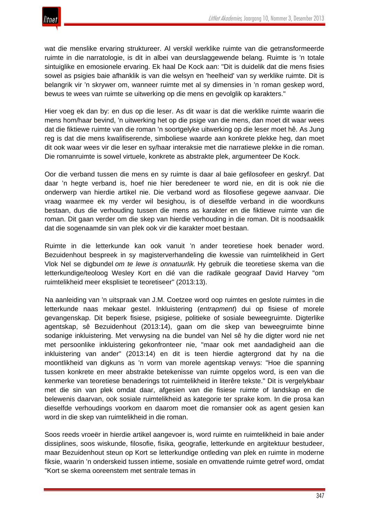

wat die menslike ervaring struktureer. Al verskil werklike ruimte van die getransformeerde ruimte in die narratologie, is dit in albei van deurslaggewende belang. Ruimte is 'n totale sintuiglike en emosionele ervaring. Ek haal De Kock aan: "Dit is duidelik dat die mens fisies sowel as psigies baie afhanklik is van die welsyn en 'heelheid' van sy werklike ruimte. Dit is belangrik vir 'n skrywer om, wanneer ruimte met al sy dimensies in 'n roman geskep word, bewus te wees van ruimte se uitwerking op die mens en gevolglik op karakters."

Hier voeg ek dan by: en dus op die leser. As dit waar is dat die werklike ruimte waarin die mens hom/haar bevind, 'n uitwerking het op die psige van die mens, dan moet dit waar wees dat die fiktiewe ruimte van die roman 'n soortgelyke uitwerking op die leser moet hê. As Jung reg is dat die mens kwalifiserende, simboliese waarde aan konkrete plekke heg, dan moet dit ook waar wees vir die leser en sy/haar interaksie met die narratiewe plekke in die roman. Die romanruimte is sowel virtuele, konkrete as abstrakte plek, argumenteer De Kock.

Oor die verband tussen die mens en sy ruimte is daar al baie gefilosofeer en geskryf. Dat daar 'n hegte verband is, hoef nie hier beredeneer te word nie, en dit is ook nie die onderwerp van hierdie artikel nie. Die verband word as filosofiese gegewe aanvaar. Die vraag waarmee ek my verder wil besighou, is of dieselfde verband in die woordkuns bestaan, dus die verhouding tussen die mens as karakter en die fiktiewe ruimte van die roman. Dit gaan verder om die skep van hierdie verhouding in die roman. Dit is noodsaaklik dat die sogenaamde sin van plek ook vir die karakter moet bestaan.

Ruimte in die letterkunde kan ook vanuit 'n ander teoretiese hoek benader word. Bezuidenhout bespreek in sy magisterverhandeling die kwessie van ruimtelikheid in Gert Vlok Nel se digbundel *om te lewe is onnatuurlik.* Hy gebruik die teoretiese skema van die letterkundige/teoloog Wesley Kort en dié van die radikale geograaf David Harvey "om ruimtelikheid meer eksplisiet te teoretiseer" (2013:13).

Na aanleiding van 'n uitspraak van J.M. Coetzee word oop ruimtes en geslote ruimtes in die letterkunde naas mekaar gestel. Inkluistering (*entrapment*) dui op fisiese of morele gevangenskap. Dit beperk fisiese, psigiese, politieke of sosiale beweegruimte. Digterlike agentskap, sê Bezuidenhout (2013:14), gaan om die skep van beweegruimte binne sodanige inkluistering. Met verwysing na die bundel van Nel sê hy die digter word nie net met persoonlike inkluistering gekonfronteer nie, "maar ook met aandadigheid aan die inkluistering van ander" (2013:14) en dit is teen hierdie agtergrond dat hy na die moontlikheid van digkuns as 'n vorm van morele agentskap verwys: "Hoe die spanning tussen konkrete en meer abstrakte betekenisse van ruimte opgelos word, is een van die kenmerke van teoretiese benaderings tot ruimtelikheid in literêre tekste." Dit is vergelykbaar met die sin van plek omdat daar, afgesien van die fisiese ruimte of landskap en die belewenis daarvan, ook sosiale ruimtelikheid as kategorie ter sprake kom. In die prosa kan dieselfde verhoudings voorkom en daarom moet die romansier ook as agent gesien kan word in die skep van ruimtelikheid in die roman.

Soos reeds vroeër in hierdie artikel aangevoer is, word ruimte en ruimtelikheid in baie ander dissiplines, soos wiskunde, filosofie, fisika, geografie, letterkunde en argitektuur bestudeer, maar Bezuidenhout steun op Kort se letterkundige ontleding van plek en ruimte in moderne fiksie, waarin 'n onderskeid tussen intieme, sosiale en omvattende ruimte getref word, omdat "Kort se skema ooreenstem met sentrale temas in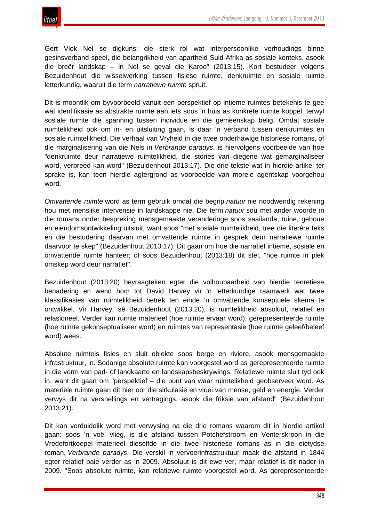Gert Vlok Nel se digkuns: die sterk rol wat interpersoonlike verhoudings binne gesinsverband speel, die belangrikheid van apartheid Suid-Afrika as sosiale konteks, asook die breër landskap – in Nel se geval die Karoo" (2013:15). Kort bestudeer volgens Bezuidenhout die wisselwerking tussen fisiese ruimte, denkruimte en sosiale ruimte letterkundig, waaruit die term *narratiewe ruimte* spruit.

Dit is moontlik om byvoorbeeld vanuit een perspektief op intieme ruimtes betekenis te gee wat identifikasie as abstrakte ruimte aan iets soos 'n huis as konkrete ruimte koppel, terwyl sosiale ruimte die spanning tussen individue en die gemeenskap belig. Omdat sosiale ruimtelikheid ook om in- en uitsluiting gaan, is daar 'n verband tussen denkruimtes en sosiale ruimtelikheid. Die verhaal van Vryheid in die twee onderhawige historiese romans, of die marginalisering van die Nels in *Verbrande paradys*, is hiervolgens voorbeelde van hoe "denkruimte deur narratiewe ruimtelikheid, die stories van diegene wat gemarginaliseer word, verbreed kan word" (Bezuidenhout 2013:17). Die drie tekste wat in hierdie artikel ter sprake is, kan teen hierdie agtergrond as voorbeelde van morele agentskap voorgehou word.

*Omvattende ruimte* word as term gebruik omdat die begrip *natuur* nie noodwendig rekening hou met menslike intervensie in landskappe nie. Die term *natuur* sou met ander woorde in die romans onder bespreking mensgemaakte veranderinge soos saailande, tuine, geboue en eiendomsontwikkeling uitsluit, want soos "met sosiale ruimtelikheid, tree die literêre teks en die bestudering daarvan met omvattende ruimte in gesprek deur narratiewe ruimte daarvoor te skep" (Bezuidenhout 2013:17). Dit gaan om hoe die narratief intieme, sosiale en omvattende ruimte hanteer; of soos Bezuidenhout (2013:18) dit stel, "hoe ruimte in plek omskep word deur narratief".

Bezuidenhout (2013:20) bevraagteken egter die volhoubaarheid van hierdie teoretiese benadering en wend hom tot David Harvey vir 'n letterkundige raamwerk wat twee klassifikasies van ruimtelikheid betrek ten einde 'n omvattende konseptuele skema te ontwikkel. Vir Harvey, sê Bezuidenhout (2013:20), is ruimtelikheid absoluut, relatief en relasioneel. Verder kan ruimte materieel (hoe ruimte ervaar word), gerepresenteerde ruimte (hoe ruimte gekonseptualiseer word) en ruimtes van representasie (hoe ruimte geleef/beleef word) wees.

Absolute ruimteis fisies en sluit objekte soos berge en riviere, asook mensgemaakte infrastruktuur, in. Sodanige absolute ruimte kan voorgestel word as gerepresenteerde ruimte in die vorm van pad- of landkaarte en landskapsbeskrywings. Relatiewe ruimte sluit tyd ook in, want dit gaan om "perspektief – die punt van waar ruimtelikheid geobserveer word. As materiële ruimte gaan dit hier oor die sirkulasie en vloei van mense, geld en energie. Verder verwys dit na versnellings en vertragings, asook die friksie van afstand" (Bezuidenhout 2013:21).

Dit kan verduidelik word met verwysing na die drie romans waarom dit in hierdie artikel gaan: soos 'n voël vlieg, is die afstand tussen Potchefstroom en Venterskroon in die Vredefortkoepel materieel dieselfde in die twee historiese romans as in die eietydse roman, *Verbrande paradys*. Die verskil in vervoerinfrastruktuur maak die afstand in 1844 egter relatief baie verder as in 2009. Absoluut is dit ewe ver, maar relatief is dit nader in 2009. "Soos absolute ruimte, kan relatiewe ruimte voorgestel word. As gerepresenteerde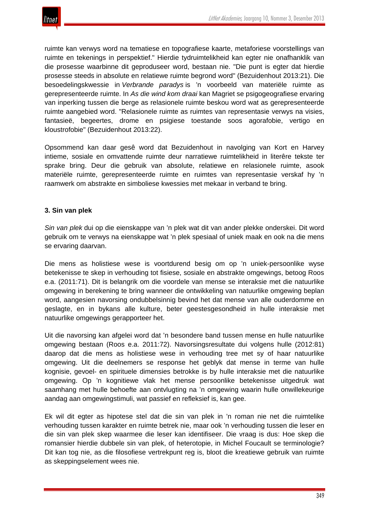

ruimte kan verwys word na tematiese en topografiese kaarte, metaforiese voorstellings van ruimte en tekenings in perspektief." Hierdie tydruimtelikheid kan egter nie onafhanklik van die prosesse waarbinne dit geproduseer word, bestaan nie. "Die punt is egter dat hierdie prosesse steeds in absolute en relatiewe ruimte begrond word" (Bezuidenhout 2013:21). Die besoedelingskwessie in *Verbrande paradys* is 'n voorbeeld van materiële ruimte as gerepresenteerde ruimte. In *As die wind kom draai* kan Magriet se psigogeografiese ervaring van inperking tussen die berge as relasionele ruimte beskou word wat as gerepresenteerde ruimte aangebied word. "Relasionele ruimte as ruimtes van representasie verwys na visies, fantasieë, begeertes, drome en psigiese toestande soos agorafobie, vertigo en kloustrofobie" (Bezuidenhout 2013:22).

Opsommend kan daar gesê word dat Bezuidenhout in navolging van Kort en Harvey intieme, sosiale en omvattende ruimte deur narratiewe ruimtelikheid in literêre tekste ter sprake bring. Deur die gebruik van absolute, relatiewe en relasionele ruimte, asook materiële ruimte, gerepresenteerde ruimte en ruimtes van representasie verskaf hy 'n raamwerk om abstrakte en simboliese kwessies met mekaar in verband te bring.

# **3. Sin van plek**

*Sin van plek* dui op die eienskappe van 'n plek wat dit van ander plekke onderskei. Dit word gebruik om te verwys na eienskappe wat 'n plek spesiaal of uniek maak en ook na die mens se ervaring daarvan.

Die mens as holistiese wese is voortdurend besig om op 'n uniek-persoonlike wyse betekenisse te skep in verhouding tot fisiese, sosiale en abstrakte omgewings, betoog Roos e.a. (2011:71). Dit is belangrik om die voordele van mense se interaksie met die natuurlike omgewing in berekening te bring wanneer die ontwikkeling van natuurlike omgewing beplan word, aangesien navorsing ondubbelsinnig bevind het dat mense van alle ouderdomme en geslagte, en in bykans alle kulture, beter geestesgesondheid in hulle interaksie met natuurlike omgewings gerapporteer het.

Uit die navorsing kan afgelei word dat 'n besondere band tussen mense en hulle natuurlike omgewing bestaan (Roos e.a. 2011:72). Navorsingsresultate dui volgens hulle (2012:81) daarop dat die mens as holistiese wese in verhouding tree met sy of haar natuurlike omgewing. Uit die deelnemers se response het geblyk dat mense in terme van hulle kognisie, gevoel- en spirituele dimensies betrokke is by hulle interaksie met die natuurlike omgewing. Op 'n kognitiewe vlak het mense persoonlike betekenisse uitgedruk wat saamhang met hulle behoefte aan ontvlugting na 'n omgewing waarin hulle onwillekeurige aandag aan omgewingstimuli, wat passief en refleksief is, kan gee.

Ek wil dit egter as hipotese stel dat die sin van plek in 'n roman nie net die ruimtelike verhouding tussen karakter en ruimte betrek nie, maar ook 'n verhouding tussen die leser en die sin van plek skep waarmee die leser kan identifiseer. Die vraag is dus: Hoe skep die romansier hierdie dubbele sin van plek, of heterotopie, in Michel Foucault se terminologie? Dit kan tog nie, as die filosofiese vertrekpunt reg is, bloot die kreatiewe gebruik van ruimte as skeppingselement wees nie.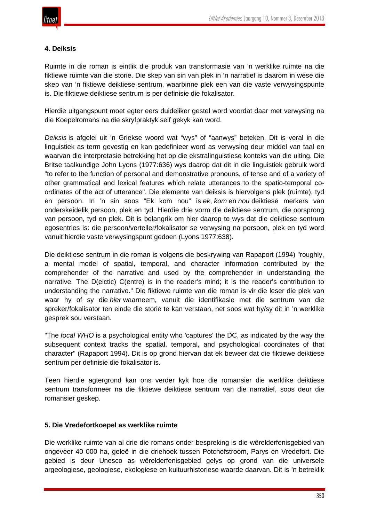# **4. Deiksis**

Ruimte in die roman is eintlik die produk van transformasie van 'n werklike ruimte na die fiktiewe ruimte van die storie. Die skep van sin van plek in 'n narratief is daarom in wese die skep van 'n fiktiewe deiktiese sentrum, waarbinne plek een van die vaste verwysingspunte is. Die fiktiewe deiktiese sentrum is per definisie die fokalisator.

Hierdie uitgangspunt moet egter eers duideliker gestel word voordat daar met verwysing na die Koepelromans na die skryfpraktyk self gekyk kan word.

*Deiksis* is afgelei uit 'n Griekse woord wat "wys" of "aanwys" beteken. Dit is veral in die linguistiek as term gevestig en kan gedefinieer word as verwysing deur middel van taal en waarvan die interpretasie betrekking het op die ekstralinguistiese konteks van die uiting. Die Britse taalkundige John Lyons (1977:636) wys daarop dat dit in die linguistiek gebruik word "to refer to the function of personal and demonstrative pronouns, of tense and of a variety of other grammatical and lexical features which relate utterances to the spatio-temporal coordinates of the act of utterance". Die elemente van deiksis is hiervolgens plek (ruimte), tyd en persoon. In 'n sin soos "Ek kom nou" is *ek*, *kom* en *nou* deiktiese merkers van onderskeidelik persoon, plek en tyd. Hierdie drie vorm die deiktiese sentrum, die oorsprong van persoon, tyd en plek. Dit is belangrik om hier daarop te wys dat die deiktiese sentrum egosentries is: die persoon/verteller/fokalisator se verwysing na persoon, plek en tyd word vanuit hierdie vaste verwysingspunt gedoen (Lyons 1977:638).

Die deiktiese sentrum in die roman is volgens die beskrywing van Rapaport (1994) "roughly, a mental model of spatial, temporal, and character information contributed by the comprehender of the narrative and used by the comprehender in understanding the narrative. The D(eictic) C(entre) is in the reader's mind; it is the reader's contribution to understanding the narrative." Die fiktiewe ruimte van die roman is vir die leser die plek van waar hy of sy die *hier* waarneem, vanuit die identifikasie met die sentrum van die spreker/fokalisator ten einde die storie te kan verstaan, net soos wat hy/sy dit in 'n werklike gesprek sou verstaan.

"The *focal WHO* is a psychological entity who 'captures' the DC, as indicated by the way the subsequent context tracks the spatial, temporal, and psychological coordinates of that character" (Rapaport 1994). Dit is op grond hiervan dat ek beweer dat die fiktiewe deiktiese sentrum per definisie die fokalisator is.

Teen hierdie agtergrond kan ons verder kyk hoe die romansier die werklike deiktiese sentrum transformeer na die fiktiewe deiktiese sentrum van die narratief, soos deur die romansier geskep.

# **5. Die Vredefortkoepel as werklike ruimte**

Die werklike ruimte van al drie die romans onder bespreking is die wêrelderfenisgebied van ongeveer 40 000 ha, geleë in die driehoek tussen Potchefstroom, Parys en Vredefort. Die gebied is deur Unesco as wêrelderfenisgebied gelys op grond van die universele argeologiese, geologiese, ekologiese en kultuurhistoriese waarde daarvan. Dit is 'n betreklik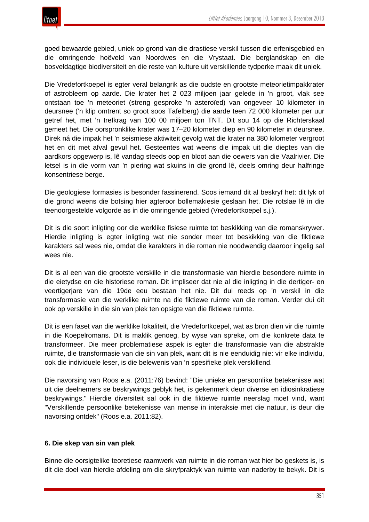goed bewaarde gebied, uniek op grond van die drastiese verskil tussen die erfenisgebied en die omringende hoëveld van Noordwes en die Vrystaat. Die berglandskap en die bosveldagtige biodiversiteit en die reste van kulture uit verskillende tydperke maak dit uniek.

Die Vredefortkoepel is egter veral belangrik as die oudste en grootste meteorietimpakkrater of astrobleem op aarde. Die krater het 2 023 miljoen jaar gelede in 'n groot, vlak see ontstaan toe 'n meteoriet (streng gesproke 'n asteroïed) van ongeveer 10 kilometer in deursnee ('n klip omtrent so groot soos Tafelberg) die aarde teen 72 000 kilometer per uur getref het, met 'n trefkrag van 100 00 miljoen ton TNT. Dit sou 14 op die Richterskaal gemeet het. Die oorspronklike krater was 17–20 kilometer diep en 90 kilometer in deursnee. Direk ná die impak het 'n seismiese aktiwiteit gevolg wat die krater na 380 kilometer vergroot het en dit met afval gevul het. Gesteentes wat weens die impak uit die dieptes van die aardkors opgewerp is, lê vandag steeds oop en bloot aan die oewers van die Vaalrivier. Die letsel is in die vorm van 'n piering wat skuins in die grond lê, deels omring deur halfringe konsentriese berge.

Die geologiese formasies is besonder fassinerend. Soos iemand dit al beskryf het: dit lyk of die grond weens die botsing hier agteroor bollemakiesie geslaan het. Die rotslae lê in die teenoorgestelde volgorde as in die omringende gebied (Vredefortkoepel s.j.).

Dit is die soort inligting oor die werklike fisiese ruimte tot beskikking van die romanskrywer. Hierdie inligting is egter inligting wat nie sonder meer tot beskikking van die fiktiewe karakters sal wees nie, omdat die karakters in die roman nie noodwendig daaroor ingelig sal wees nie.

Dit is al een van die grootste verskille in die transformasie van hierdie besondere ruimte in die eietydse en die historiese roman. Dit impliseer dat nie al die inligting in die dertiger- en veertigerjare van die 19de eeu bestaan het nie. Dit dui reeds op 'n verskil in die transformasie van die werklike ruimte na die fiktiewe ruimte van die roman. Verder dui dit ook op verskille in die sin van plek ten opsigte van die fiktiewe ruimte.

Dit is een faset van die werklike lokaliteit, die Vredefortkoepel, wat as bron dien vir die ruimte in die Koepelromans. Dit is maklik genoeg, by wyse van spreke, om die konkrete data te transformeer. Die meer problematiese aspek is egter die transformasie van die abstrakte ruimte, die transformasie van die sin van plek, want dit is nie eenduidig nie: vir elke individu, ook die individuele leser, is die belewenis van 'n spesifieke plek verskillend.

Die navorsing van Roos e.a. (2011:76) bevind: "Die unieke en persoonlike betekenisse wat uit die deelnemers se beskrywings geblyk het, is gekenmerk deur diverse en idiosinkratiese beskrywings." Hierdie diversiteit sal ook in die fiktiewe ruimte neerslag moet vind, want "Verskillende persoonlike betekenisse van mense in interaksie met die natuur, is deur die navorsing ontdek" (Roos e.a. 2011:82).

# **6. Die skep van sin van plek**

Binne die oorsigtelike teoretiese raamwerk van ruimte in die roman wat hier bo geskets is, is dit die doel van hierdie afdeling om die skryfpraktyk van ruimte van naderby te bekyk. Dit is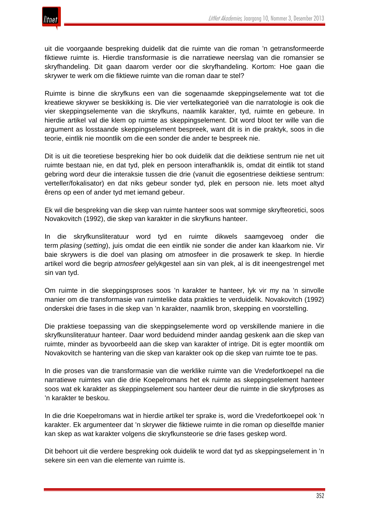

uit die voorgaande bespreking duidelik dat die ruimte van die roman 'n getransformeerde fiktiewe ruimte is. Hierdie transformasie is die narratiewe neerslag van die romansier se skryfhandeling. Dit gaan daarom verder oor die skryfhandeling. Kortom: Hoe gaan die skrywer te werk om die fiktiewe ruimte van die roman daar te stel?

Ruimte is binne die skryfkuns een van die sogenaamde skeppingselemente wat tot die kreatiewe skrywer se beskikking is. Die vier vertelkategorieë van die narratologie is ook die vier skeppingselemente van die skryfkuns, naamlik karakter, tyd, ruimte en gebeure. In hierdie artikel val die klem op ruimte as skeppingselement. Dit word bloot ter wille van die argument as losstaande skeppingselement bespreek, want dit is in die praktyk, soos in die teorie, eintlik nie moontlik om die een sonder die ander te bespreek nie.

Dit is uit die teoretiese bespreking hier bo ook duidelik dat die deiktiese sentrum nie net uit ruimte bestaan nie, en dat tyd, plek en persoon interafhanklik is, omdat dit eintlik tot stand gebring word deur die interaksie tussen die drie (vanuit die egosentriese deiktiese sentrum: verteller/fokalisator) en dat niks gebeur sonder tyd, plek en persoon nie. Iets moet altyd êrens op een of ander tyd met iemand gebeur.

Ek wil die bespreking van die skep van ruimte hanteer soos wat sommige skryfteoretici, soos Novakovitch (1992), die skep van karakter in die skryfkuns hanteer.

In die skryfkunsliteratuur word tyd en ruimte dikwels saamgevoeg onder die term *plasing* (*setting*), juis omdat die een eintlik nie sonder die ander kan klaarkom nie. Vir baie skrywers is die doel van plasing om atmosfeer in die prosawerk te skep. In hierdie artikel word die begrip *atmosfeer* gelykgestel aan sin van plek, al is dit ineengestrengel met sin van tyd.

Om ruimte in die skeppingsproses soos 'n karakter te hanteer, lyk vir my na 'n sinvolle manier om die transformasie van ruimtelike data prakties te verduidelik. Novakovitch (1992) onderskei drie fases in die skep van 'n karakter, naamlik bron, skepping en voorstelling.

Die praktiese toepassing van die skeppingselemente word op verskillende maniere in die skryfkunsliteratuur hanteer. Daar word beduidend minder aandag geskenk aan die skep van ruimte, minder as byvoorbeeld aan die skep van karakter of intrige. Dit is egter moontlik om Novakovitch se hantering van die skep van karakter ook op die skep van ruimte toe te pas.

In die proses van die transformasie van die werklike ruimte van die Vredefortkoepel na die narratiewe ruimtes van die drie Koepelromans het ek ruimte as skeppingselement hanteer soos wat ek karakter as skeppingselement sou hanteer deur die ruimte in die skryfproses as 'n karakter te beskou.

In die drie Koepelromans wat in hierdie artikel ter sprake is, word die Vredefortkoepel ook 'n karakter. Ek argumenteer dat 'n skrywer die fiktiewe ruimte in die roman op dieselfde manier kan skep as wat karakter volgens die skryfkunsteorie se drie fases geskep word.

Dit behoort uit die verdere bespreking ook duidelik te word dat tyd as skeppingselement in 'n sekere sin een van die elemente van ruimte is.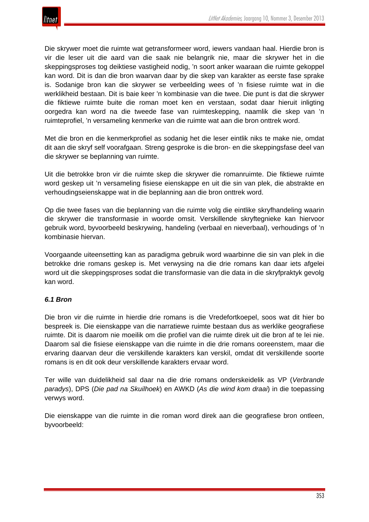

Die skrywer moet die ruimte wat getransformeer word, iewers vandaan haal. Hierdie bron is vir die leser uit die aard van die saak nie belangrik nie, maar die skrywer het in die skeppingsproses tog deiktiese vastigheid nodig, 'n soort anker waaraan die ruimte gekoppel kan word. Dit is dan die bron waarvan daar by die skep van karakter as eerste fase sprake is. Sodanige bron kan die skrywer se verbeelding wees of 'n fisiese ruimte wat in die werklikheid bestaan. Dit is baie keer 'n kombinasie van die twee. Die punt is dat die skrywer die fiktiewe ruimte buite die roman moet ken en verstaan, sodat daar hieruit inligting oorgedra kan word na die tweede fase van ruimteskepping, naamlik die skep van 'n ruimteprofiel, 'n versameling kenmerke van die ruimte wat aan die bron onttrek word.

Met die bron en die kenmerkprofiel as sodanig het die leser eintlik niks te make nie, omdat dit aan die skryf self voorafgaan. Streng gesproke is die bron- en die skeppingsfase deel van die skrywer se beplanning van ruimte.

Uit die betrokke bron vir die ruimte skep die skrywer die romanruimte. Die fiktiewe ruimte word geskep uit 'n versameling fisiese eienskappe en uit die sin van plek, die abstrakte en verhoudingseienskappe wat in die beplanning aan die bron onttrek word.

Op die twee fases van die beplanning van die ruimte volg die eintlike skryfhandeling waarin die skrywer die transformasie in woorde omsit. Verskillende skryftegnieke kan hiervoor gebruik word, byvoorbeeld beskrywing, handeling (verbaal en nieverbaal), verhoudings of 'n kombinasie hiervan.

Voorgaande uiteensetting kan as paradigma gebruik word waarbinne die sin van plek in die betrokke drie romans geskep is. Met verwysing na die drie romans kan daar iets afgelei word uit die skeppingsproses sodat die transformasie van die data in die skryfpraktyk gevolg kan word.

# *6.1 Bron*

Die bron vir die ruimte in hierdie drie romans is die Vredefortkoepel, soos wat dit hier bo bespreek is. Die eienskappe van die narratiewe ruimte bestaan dus as werklike geografiese ruimte. Dit is daarom nie moeilik om die profiel van die ruimte direk uit die bron af te lei nie. Daarom sal die fisiese eienskappe van die ruimte in die drie romans ooreenstem, maar die ervaring daarvan deur die verskillende karakters kan verskil, omdat dit verskillende soorte romans is en dit ook deur verskillende karakters ervaar word.

Ter wille van duidelikheid sal daar na die drie romans onderskeidelik as VP (*Verbrande paradys*), DPS (*Die pad na Skuilhoek*) en AWKD (*As die wind kom draai*) in die toepassing verwys word.

Die eienskappe van die ruimte in die roman word direk aan die geografiese bron ontleen, byvoorbeeld: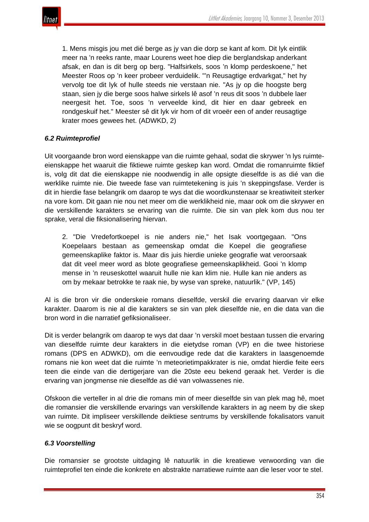

1. Mens misgis jou met dié berge as jy van die dorp se kant af kom. Dit lyk eintlik meer na 'n reeks rante, maar Lourens weet hoe diep die berglandskap anderkant afsak, en dan is dit berg op berg. "Halfsirkels, soos 'n klomp perdeskoene," het Meester Roos op 'n keer probeer verduidelik. "'n Reusagtige erdvarkgat," het hy vervolg toe dit lyk of hulle steeds nie verstaan nie. "As jy op die hoogste berg staan, sien jy die berge soos halwe sirkels lê asof 'n reus dit soos 'n dubbele laer neergesit het. Toe, soos 'n verveelde kind, dit hier en daar gebreek en rondgeskuif het." Meester sê dit lyk vir hom of dit vroeër een of ander reusagtige krater moes gewees het. (ADWKD, 2)

# *6.2 Ruimteprofiel*

Uit voorgaande bron word eienskappe van die ruimte gehaal, sodat die skrywer 'n lys ruimteeienskappe het waaruit die fiktiewe ruimte geskep kan word. Omdat die romanruimte fiktief is, volg dit dat die eienskappe nie noodwendig in alle opsigte dieselfde is as dié van die werklike ruimte nie. Die tweede fase van ruimtetekening is juis 'n skeppingsfase. Verder is dit in hierdie fase belangrik om daarop te wys dat die woordkunstenaar se kreatiwiteit sterker na vore kom. Dit gaan nie nou net meer om die werklikheid nie, maar ook om die skrywer en die verskillende karakters se ervaring van die ruimte. Die sin van plek kom dus nou ter sprake, veral die fiksionalisering hiervan.

2. "Die Vredefortkoepel is nie anders nie," het Isak voortgegaan. "Ons Koepelaars bestaan as gemeenskap omdat die Koepel die geografiese gemeenskaplike faktor is. Maar dis juis hierdie unieke geografie wat veroorsaak dat dit veel meer word as blote geografiese gemeenskaplikheid. Gooi 'n klomp mense in 'n reuseskottel waaruit hulle nie kan klim nie. Hulle kan nie anders as om by mekaar betrokke te raak nie, by wyse van spreke, natuurlik." (VP, 145)

Al is die bron vir die onderskeie romans dieselfde, verskil die ervaring daarvan vir elke karakter. Daarom is nie al die karakters se sin van plek dieselfde nie, en die data van die bron word in die narratief gefiksionaliseer.

Dit is verder belangrik om daarop te wys dat daar 'n verskil moet bestaan tussen die ervaring van dieselfde ruimte deur karakters in die eietydse roman (VP) en die twee historiese romans (DPS en ADWKD), om die eenvoudige rede dat die karakters in laasgenoemde romans nie kon weet dat die ruimte 'n meteorietimpakkrater is nie, omdat hierdie feite eers teen die einde van die dertigerjare van die 20ste eeu bekend geraak het. Verder is die ervaring van jongmense nie dieselfde as dié van volwassenes nie.

Ofskoon die verteller in al drie die romans min of meer dieselfde sin van plek mag hê, moet die romansier die verskillende ervarings van verskillende karakters in ag neem by die skep van ruimte. Dit impliseer verskillende deiktiese sentrums by verskillende fokalisators vanuit wie se oogpunt dit beskryf word.

# *6.3 Voorstelling*

Die romansier se grootste uitdaging lê natuurlik in die kreatiewe verwoording van die ruimteprofiel ten einde die konkrete en abstrakte narratiewe ruimte aan die leser voor te stel.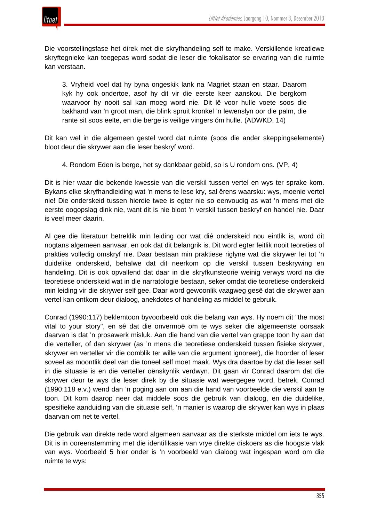

Die voorstellingsfase het direk met die skryfhandeling self te make. Verskillende kreatiewe skryftegnieke kan toegepas word sodat die leser die fokalisator se ervaring van die ruimte kan verstaan.

3. Vryheid voel dat hy byna ongeskik lank na Magriet staan en staar. Daarom kyk hy ook ondertoe, asof hy dit vir die eerste keer aanskou. Die bergkom waarvoor hy nooit sal kan moeg word nie. Dit lê voor hulle voete soos die bakhand van 'n groot man, die blink spruit kronkel 'n lewenslyn oor die palm, die rante sit soos eelte, en die berge is veilige vingers óm hulle. (ADWKD, 14)

Dit kan wel in die algemeen gestel word dat ruimte (soos die ander skeppingselemente) bloot deur die skrywer aan die leser beskryf word.

4. Rondom Eden is berge, het sy dankbaar gebid, so is U rondom ons. (VP, 4)

Dit is hier waar die bekende kwessie van die verskil tussen vertel en wys ter sprake kom. Bykans elke skryfhandleiding wat 'n mens te lese kry, sal êrens waarsku: wys, moenie vertel nie! Die onderskeid tussen hierdie twee is egter nie so eenvoudig as wat 'n mens met die eerste oogopslag dink nie, want dit is nie bloot 'n verskil tussen beskryf en handel nie. Daar is veel meer daarin.

Al gee die literatuur betreklik min leiding oor wat dié onderskeid nou eintlik is, word dit nogtans algemeen aanvaar, en ook dat dit belangrik is. Dit word egter feitlik nooit teoreties of prakties volledig omskryf nie. Daar bestaan min praktiese riglyne wat die skrywer lei tot 'n duidelike onderskeid, behalwe dat dit neerkom op die verskil tussen beskrywing en handeling. Dit is ook opvallend dat daar in die skryfkunsteorie weinig verwys word na die teoretiese onderskeid wat in die narratologie bestaan, seker omdat die teoretiese onderskeid min leiding vir die skrywer self gee. Daar word gewoonlik vaagweg gesê dat die skrywer aan vertel kan ontkom deur dialoog, anekdotes of handeling as middel te gebruik.

Conrad (1990:117) beklemtoon byvoorbeeld ook die belang van wys. Hy noem dit "the most vital to your story", en sê dat die onvermoë om te wys seker die algemeenste oorsaak daarvan is dat 'n prosawerk misluk. Aan die hand van die vertel van grappe toon hy aan dat die verteller, of dan skrywer (as 'n mens die teoretiese onderskeid tussen fisieke skrywer, skrywer en verteller vir die oomblik ter wille van die argument ignoreer), die hoorder of leser soveel as moontlik deel van die toneel self moet maak. Wys dra daartoe by dat die leser self in die situasie is en die verteller oënskynlik verdwyn. Dit gaan vir Conrad daarom dat die skrywer deur te wys die leser direk by die situasie wat weergegee word, betrek. Conrad (1990:118 e.v.) wend dan 'n poging aan om aan die hand van voorbeelde die verskil aan te toon. Dit kom daarop neer dat middele soos die gebruik van dialoog, en die duidelike, spesifieke aanduiding van die situasie self, 'n manier is waarop die skrywer kan wys in plaas daarvan om net te vertel.

Die gebruik van direkte rede word algemeen aanvaar as die sterkste middel om iets te wys. Dit is in ooreenstemming met die identifikasie van vrye direkte diskoers as die hoogste vlak van wys. Voorbeeld 5 hier onder is 'n voorbeeld van dialoog wat ingespan word om die ruimte te wys: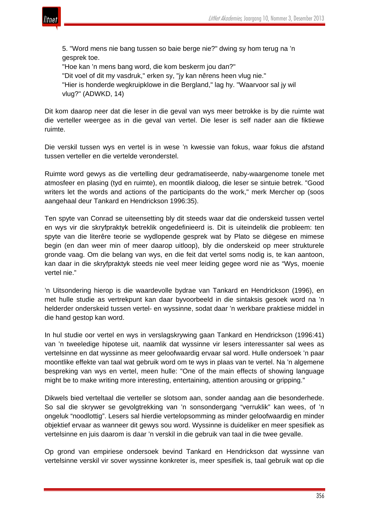

5. "Word mens nie bang tussen so baie berge nie?" dwing sy hom terug na 'n gesprek toe.

"Hoe kan 'n mens bang word, die kom beskerm jou dan?" "Dit voel of dit my vasdruk," erken sy, "jy kan nêrens heen vlug nie." "Hier is honderde wegkruipklowe in die Bergland," lag hy. "Waarvoor sal jy wil vlug?" (ADWKD, 14)

Dit kom daarop neer dat die leser in die geval van wys meer betrokke is by die ruimte wat die verteller weergee as in die geval van vertel. Die leser is self nader aan die fiktiewe ruimte.

Die verskil tussen wys en vertel is in wese 'n kwessie van fokus, waar fokus die afstand tussen verteller en die vertelde veronderstel.

Ruimte word gewys as die vertelling deur gedramatiseerde, naby-waargenome tonele met atmosfeer en plasing (tyd en ruimte), en moontlik dialoog, die leser se sintuie betrek. "Good writers let the words and actions of the participants do the work," merk Mercher op (soos aangehaal deur Tankard en Hendrickson 1996:35).

Ten spyte van Conrad se uiteensetting bly dit steeds waar dat die onderskeid tussen vertel en wys vir die skryfpraktyk betreklik ongedefinieerd is. Dit is uiteindelik die probleem: ten spyte van die literêre teorie se wydlopende gesprek wat by Plato se diëgese en mimese begin (en dan weer min of meer daarop uitloop), bly die onderskeid op meer strukturele gronde vaag. Om die belang van wys, en die feit dat vertel soms nodig is, te kan aantoon, kan daar in die skryfpraktyk steeds nie veel meer leiding gegee word nie as "Wys, moenie vertel nie."

'n Uitsondering hierop is die waardevolle bydrae van Tankard en Hendrickson (1996), en met hulle studie as vertrekpunt kan daar byvoorbeeld in die sintaksis gesoek word na 'n helderder onderskeid tussen vertel- en wyssinne, sodat daar 'n werkbare praktiese middel in die hand gestop kan word.

In hul studie oor vertel en wys in verslagskrywing gaan Tankard en Hendrickson (1996:41) van 'n tweeledige hipotese uit, naamlik dat wyssinne vir lesers interessanter sal wees as vertelsinne en dat wyssinne as meer geloofwaardig ervaar sal word. Hulle ondersoek 'n paar moontlike effekte van taal wat gebruik word om te wys in plaas van te vertel. Na 'n algemene bespreking van wys en vertel, meen hulle: "One of the main effects of showing language might be to make writing more interesting, entertaining, attention arousing or gripping."

Dikwels bied verteltaal die verteller se slotsom aan, sonder aandag aan die besonderhede. So sal die skrywer se gevolgtrekking van 'n sonsondergang "verruklik" kan wees, of 'n ongeluk "noodlottig". Lesers sal hierdie vertelopsomming as minder geloofwaardig en minder objektief ervaar as wanneer dit gewys sou word. Wyssinne is duideliker en meer spesifiek as vertelsinne en juis daarom is daar 'n verskil in die gebruik van taal in die twee gevalle.

Op grond van empiriese ondersoek bevind Tankard en Hendrickson dat wyssinne van vertelsinne verskil vir sover wyssinne konkreter is, meer spesifiek is, taal gebruik wat op die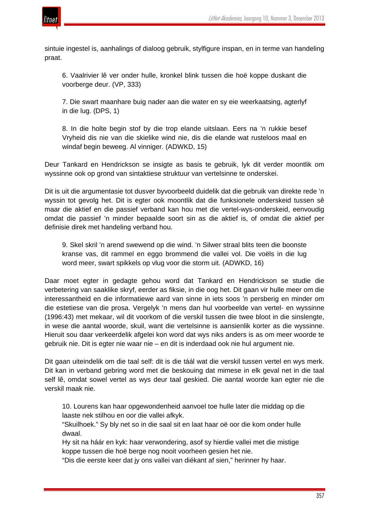

sintuie ingestel is, aanhalings of dialoog gebruik, stylfigure inspan, en in terme van handeling praat.

6. Vaalrivier lê ver onder hulle, kronkel blink tussen die hoë koppe duskant die voorberge deur. (VP, 333)

7. Die swart maanhare buig nader aan die water en sy eie weerkaatsing, agterlyf in die lug. (DPS, 1)

8. In die holte begin stof by die trop elande uitslaan. Eers na 'n rukkie besef Vryheid dis nie van die skielike wind nie, dis die elande wat rusteloos maal en windaf begin beweeg. Al vinniger. (ADWKD, 15)

Deur Tankard en Hendrickson se insigte as basis te gebruik, lyk dit verder moontlik om wyssinne ook op grond van sintaktiese struktuur van vertelsinne te onderskei.

Dit is uit die argumentasie tot dusver byvoorbeeld duidelik dat die gebruik van direkte rede 'n wyssin tot gevolg het. Dit is egter ook moontlik dat die funksionele onderskeid tussen sê maar die aktief en die passief verband kan hou met die vertel-wys-onderskeid, eenvoudig omdat die passief 'n minder bepaalde soort sin as die aktief is, of omdat die aktief per definisie direk met handeling verband hou.

9. Skel skril 'n arend swewend op die wind. 'n Silwer straal blits teen die boonste kranse vas, dit rammel en eggo brommend die vallei vol. Die voëls in die lug word meer, swart spikkels op vlug voor die storm uit. (ADWKD, 16)

Daar moet egter in gedagte gehou word dat Tankard en Hendrickson se studie die verbetering van saaklike skryf, eerder as fiksie, in die oog het. Dit gaan vir hulle meer om die interessantheid en die informatiewe aard van sinne in iets soos 'n persberig en minder om die estetiese van die prosa. Vergelyk 'n mens dan hul voorbeelde van vertel- en wyssinne (1996:43) met mekaar, wil dit voorkom of die verskil tussen die twee bloot in die sinslengte, in wese die aantal woorde, skuil, want die vertelsinne is aansienlik korter as die wyssinne. Hieruit sou daar verkeerdelik afgelei kon word dat wys niks anders is as om meer woorde te gebruik nie. Dit is egter nie waar nie – en dit is inderdaad ook nie hul argument nie.

Dit gaan uiteindelik om die taal self: dit is die táál wat die verskil tussen vertel en wys merk. Dit kan in verband gebring word met die beskouing dat mimese in elk geval net in die taal self lê, omdat sowel vertel as wys deur taal geskied. Die aantal woorde kan egter nie die verskil maak nie.

10. Lourens kan haar opgewondenheid aanvoel toe hulle later die middag op die laaste nek stilhou en oor die vallei afkyk.

"Skuilhoek." Sy bly net so in die saal sit en laat haar oë oor die kom onder hulle dwaal.

Hy sit na háár en kyk: haar verwondering, asof sy hierdie vallei met die mistige koppe tussen die hoë berge nog nooit voorheen gesien het nie.

"Dis die eerste keer dat jy ons vallei van diékant af sien," herinner hy haar.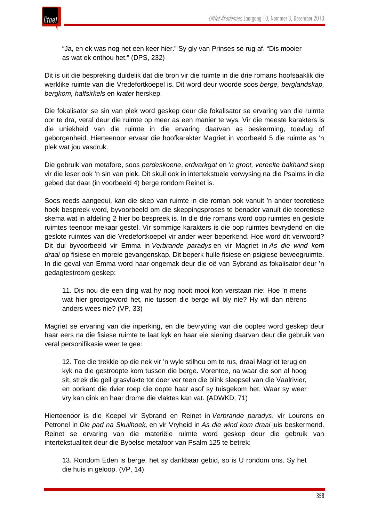

"Ja, en ek was nog net een keer hier." Sy gly van Prinses se rug af. "Dis mooier as wat ek onthou het." (DPS, 232)

Dit is uit die bespreking duidelik dat die bron vir die ruimte in die drie romans hoofsaaklik die werklike ruimte van die Vredefortkoepel is. Dit word deur woorde soos *berge, berglandskap, bergkom, halfsirkels* en *krater* herskep.

Die fokalisator se sin van plek word geskep deur die fokalisator se ervaring van die ruimte oor te dra, veral deur die ruimte op meer as een manier te wys. Vir die meeste karakters is die uniekheid van die ruimte in die ervaring daarvan as beskerming, toevlug of geborgenheid. Hierteenoor ervaar die hoofkarakter Magriet in voorbeeld 5 die ruimte as 'n plek wat jou vasdruk.

Die gebruik van metafore, soos *perdeskoene*, *erdvarkgat* en *'n groot, vereelte bakhand* skep vir die leser ook 'n sin van plek. Dit skuil ook in intertekstuele verwysing na die Psalms in die gebed dat daar (in voorbeeld 4) berge rondom Reinet is.

Soos reeds aangedui, kan die skep van ruimte in die roman ook vanuit 'n ander teoretiese hoek bespreek word, byvoorbeeld om die skeppingsproses te benader vanuit die teoretiese skema wat in afdeling 2 hier bo bespreek is. In die drie romans word oop ruimtes en geslote ruimtes teenoor mekaar gestel. Vir sommige karakters is die oop ruimtes bevrydend en die geslote ruimtes van die Vredefortkoepel vir ander weer beperkend. Hoe word dit verwoord? Dit dui byvoorbeeld vir Emma in *Verbrande paradys* en vir Magriet in *As die wind kom draai* op fisiese en morele gevangenskap. Dit beperk hulle fisiese en psigiese beweegruimte. In die geval van Emma word haar ongemak deur die oë van Sybrand as fokalisator deur 'n gedagtestroom geskep:

11. Dis nou die een ding wat hy nog nooit mooi kon verstaan nie: Hoe 'n mens wat hier grootgeword het, nie tussen die berge wil bly nie? Hy wil dan nêrens anders wees nie? (VP, 33)

Magriet se ervaring van die inperking, en die bevryding van die ooptes word geskep deur haar eers na die fisiese ruimte te laat kyk en haar eie siening daarvan deur die gebruik van veral personifikasie weer te gee:

12. Toe die trekkie op die nek vir 'n wyle stilhou om te rus, draai Magriet terug en kyk na die gestroopte kom tussen die berge. Vorentoe, na waar die son al hoog sit, strek die geil grasvlakte tot doer ver teen die blink sleepsel van die Vaalrivier, en oorkant die rivier roep die oopte haar asof sy tuisgekom het. Waar sy weer vry kan dink en haar drome die vlaktes kan vat. (ADWKD, 71)

Hierteenoor is die Koepel vir Sybrand en Reinet in *Verbrande paradys*, vir Lourens en Petronel in *Die pad na Skuilhoek,* en vir Vryheid in *As die wind kom draai* juis beskermend. Reinet se ervaring van die materiële ruimte word geskep deur die gebruik van intertekstualiteit deur die Bybelse metafoor van Psalm 125 te betrek:

13. Rondom Eden is berge, het sy dankbaar gebid, so is U rondom ons. Sy het die huis in geloop. (VP, 14)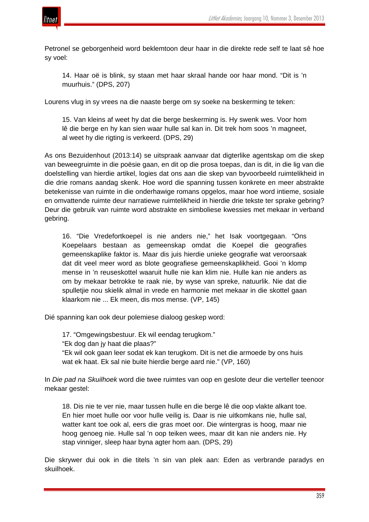

Petronel se geborgenheid word beklemtoon deur haar in die direkte rede self te laat sê hoe sy voel:

14. Haar oë is blink, sy staan met haar skraal hande oor haar mond. "Dit is 'n muurhuis." (DPS, 207)

Lourens vlug in sy vrees na die naaste berge om sy soeke na beskerming te teken:

15. Van kleins af weet hy dat die berge beskerming is. Hy swenk wes. Voor hom lê die berge en hy kan sien waar hulle sal kan in. Dit trek hom soos 'n magneet, al weet hy die rigting is verkeerd. (DPS, 29)

As ons Bezuidenhout (2013:14) se uitspraak aanvaar dat digterlike agentskap om die skep van beweegruimte in die poësie gaan, en dit op die prosa toepas, dan is dit, in die lig van die doelstelling van hierdie artikel, logies dat ons aan die skep van byvoorbeeld ruimtelikheid in die drie romans aandag skenk. Hoe word die spanning tussen konkrete en meer abstrakte betekenisse van ruimte in die onderhawige romans opgelos, maar hoe word intieme, sosiale en omvattende ruimte deur narratiewe ruimtelikheid in hierdie drie tekste ter sprake gebring? Deur die gebruik van ruimte word abstrakte en simboliese kwessies met mekaar in verband gebring.

16. "Die Vredefortkoepel is nie anders nie," het Isak voortgegaan. "Ons Koepelaars bestaan as gemeenskap omdat die Koepel die geografies gemeenskaplike faktor is. Maar dis juis hierdie unieke geografie wat veroorsaak dat dit veel meer word as blote geografiese gemeenskaplikheid. Gooi 'n klomp mense in 'n reuseskottel waaruit hulle nie kan klim nie. Hulle kan nie anders as om by mekaar betrokke te raak nie, by wyse van spreke, natuurlik. Nie dat die spulletjie nou skielik almal in vrede en harmonie met mekaar in die skottel gaan klaarkom nie ... Ek meen, dis mos mense. (VP, 145)

Dié spanning kan ook deur polemiese dialoog geskep word:

17. "Omgewingsbestuur. Ek wil eendag terugkom."

"Ek dog dan jy haat die plaas?"

"Ek wil ook gaan leer sodat ek kan terugkom. Dit is net die armoede by ons huis wat ek haat. Ek sal nie buite hierdie berge aard nie." (VP, 160)

In *Die pad na Skuilhoek* word die twee ruimtes van oop en geslote deur die verteller teenoor mekaar gestel:

18. Dis nie te ver nie, maar tussen hulle en die berge lê die oop vlakte alkant toe. En hier moet hulle oor voor hulle veilig is. Daar is nie uitkomkans nie, hulle sal, watter kant toe ook al, eers die gras moet oor. Die wintergras is hoog, maar nie hoog genoeg nie. Hulle sal 'n oop teiken wees, maar dit kan nie anders nie. Hy stap vinniger, sleep haar byna agter hom aan. (DPS, 29)

Die skrywer dui ook in die titels 'n sin van plek aan: Eden as verbrande paradys en skuilhoek.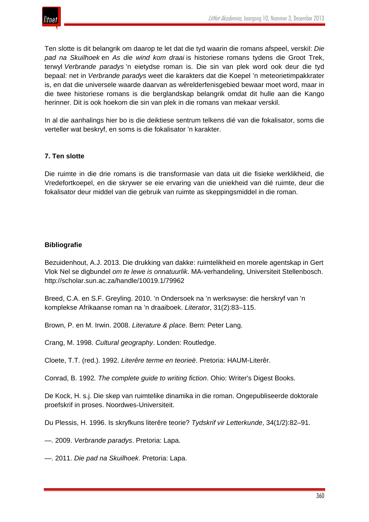Ten slotte is dit belangrik om daarop te let dat die tyd waarin die romans afspeel, verskil: *Die pad na Skuilhoek* en *As die wind kom draai* is historiese romans tydens die Groot Trek, terwyl *Verbrande paradys* 'n eietydse roman is. Die sin van plek word ook deur die tyd bepaal: net in *Verbrande paradys* weet die karakters dat die Koepel 'n meteorietimpakkrater is, en dat die universele waarde daarvan as wêrelderfenisgebied bewaar moet word, maar in die twee historiese romans is die berglandskap belangrik omdat dit hulle aan die Kango herinner. Dit is ook hoekom die sin van plek in die romans van mekaar verskil.

In al die aanhalings hier bo is die deiktiese sentrum telkens dié van die fokalisator, soms die verteller wat beskryf, en soms is die fokalisator 'n karakter.

# **7. Ten slotte**

Die ruimte in die drie romans is die transformasie van data uit die fisieke werklikheid, die Vredefortkoepel, en die skrywer se eie ervaring van die uniekheid van dié ruimte, deur die fokalisator deur middel van die gebruik van ruimte as skeppingsmiddel in die roman.

# **Bibliografie**

Bezuidenhout, A.J. 2013. Die drukking van dakke: ruimtelikheid en morele agentskap in Gert Vlok Nel se digbundel *om te lewe is onnatuurlik.* MA-verhandeling, Universiteit Stellenbosch. http://scholar.sun.ac.za/handle/10019.1/79962

Breed, C.A. en S.F. Greyling. 2010. 'n Ondersoek na 'n werkswyse: die herskryf van 'n komplekse Afrikaanse roman na 'n draaiboek. *Literator*, 31(2):83–115.

Brown, P. en M. Irwin. 2008. *Literature & place*. Bern: Peter Lang.

Crang, M. 1998. *Cultural geography*. Londen: Routledge.

Cloete, T.T. (red.). 1992. *Literêre terme en teorieë*. Pretoria: HAUM-Literêr.

Conrad, B. 1992*. The complete guide to writing fiction*. Ohio: Writer's Digest Books.

De Kock, H. s.j. Die skep van ruimtelike dinamika in die roman. Ongepubliseerde doktorale proefskrif in proses. Noordwes-Universiteit.

Du Plessis, H. 1996. Is skryfkuns literêre teorie? *Tydskrif vir Letterkunde*, 34(1/2):82–91.

—. 2009. *Verbrande paradys*. Pretoria: Lapa.

—. 2011. *Die pad na Skuilhoek*. Pretoria: Lapa.